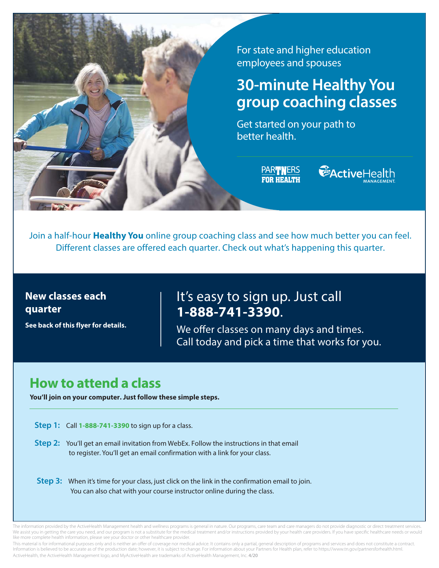

For state and higher education employees and spouses

# **30-minute Healthy You group coaching classes**

Get started on your path to better health.

> PARTNERS **FOR HEALTH**



Join a half-hour **Healthy You** online group coaching class and see how much better you can feel. Different classes are offered each quarter. Check out what's happening this quarter.

### **New classes each quarter**

**See back of this flyer for details.** 

## It's easy to sign up. Just call **1-888-741-3390**.

We offer classes on many days and times. Call today and pick a time that works for you.

# **How to attend a class**

**You'll join on your computer. Just follow these simple steps.** 

**Step 1:** Call **1-888-741-3390** to sign up for a class.

- **Step 2:** You'll get an email invitation from WebEx. Follow the instructions in that email to register. You'll get an email confirmation with a link for your class.
- **Step 3:** When it's time for your class, just click on the link in the confirmation email to join. You can also chat with your course instructor online during the class.

The information provided by the ActiveHealth Management health and wellness programs is general in nature. Our programs, care team and care managers do not provide diagnostic or direct treatment services We assist you in getting the care you need, and our program is not a substitute for the medical treatment and/or instructions provided by your health care providers. If you have specific healthcare needs or would like more complete health information, please see your doctor or other healthcare provider.

This material is for informational purposes only and is neither an offer of coverage nor medical advice. It contains only a partial, general description of programs and services and does not constitute a contract. Information is believed to be accurate as of the production date; however, it is subject to change. For information about your Partners for Health plan, refer t[o https://www.tn.gov/partnersforhealth.html.](https://www.tn.gov/partnersforhealth.html) ActiveHealth, the ActiveHealth Management logo, and MyActiveHealth are trademarks of ActiveHealth Management, Inc. 4/20